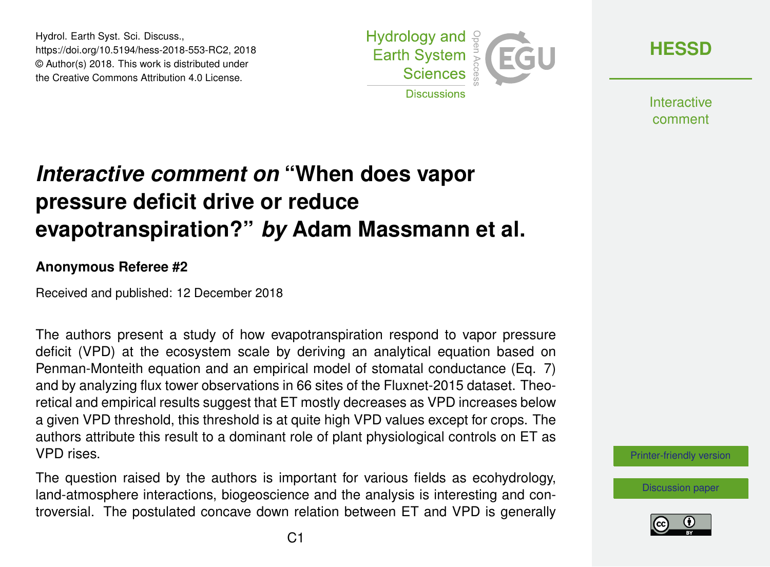Hydrol. Earth Syst. Sci. Discuss., https://doi.org/10.5194/hess-2018-553-RC2, 2018 © Author(s) 2018. This work is distributed under the Creative Commons Attribution 4.0 License.



**[HESSD](https://www.hydrol-earth-syst-sci-discuss.net/)**

**Interactive** comment

# *Interactive comment on* **"When does vapor pressure deficit drive or reduce evapotranspiration?"** *by* **Adam Massmann et al.**

#### **Anonymous Referee #2**

Received and published: 12 December 2018

The authors present a study of how evapotranspiration respond to vapor pressure deficit (VPD) at the ecosystem scale by deriving an analytical equation based on Penman-Monteith equation and an empirical model of stomatal conductance (Eq. 7) and by analyzing flux tower observations in 66 sites of the Fluxnet-2015 dataset. Theoretical and empirical results suggest that ET mostly decreases as VPD increases below a given VPD threshold, this threshold is at quite high VPD values except for crops. The authors attribute this result to a dominant role of plant physiological controls on ET as VPD rises.

The question raised by the authors is important for various fields as ecohydrology, land-atmosphere interactions, biogeoscience and the analysis is interesting and controversial. The postulated concave down relation between ET and VPD is generally



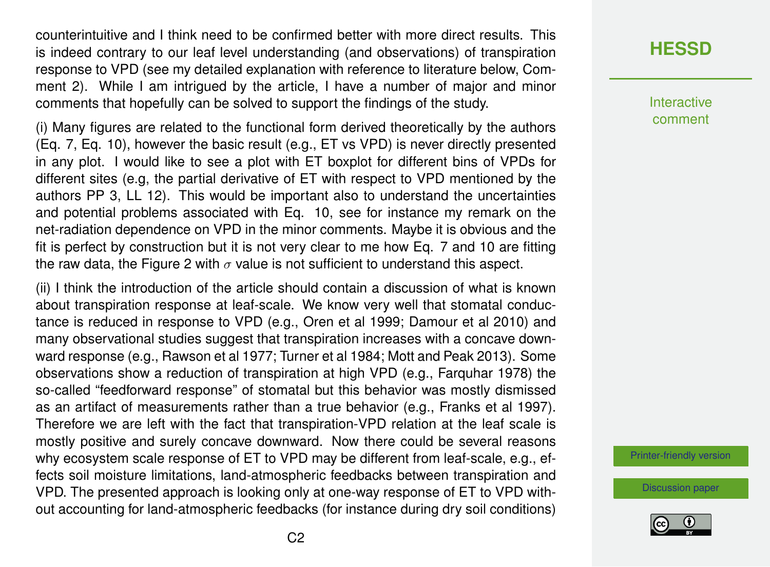counterintuitive and I think need to be confirmed better with more direct results. This is indeed contrary to our leaf level understanding (and observations) of transpiration response to VPD (see my detailed explanation with reference to literature below, Comment 2). While I am intrigued by the article, I have a number of major and minor comments that hopefully can be solved to support the findings of the study.

(i) Many figures are related to the functional form derived theoretically by the authors (Eq. 7, Eq. 10), however the basic result (e.g., ET vs VPD) is never directly presented in any plot. I would like to see a plot with ET boxplot for different bins of VPDs for different sites (e.g, the partial derivative of ET with respect to VPD mentioned by the authors PP 3, LL 12). This would be important also to understand the uncertainties and potential problems associated with Eq. 10, see for instance my remark on the net-radiation dependence on VPD in the minor comments. Maybe it is obvious and the fit is perfect by construction but it is not very clear to me how Eq. 7 and 10 are fitting the raw data, the Figure 2 with  $\sigma$  value is not sufficient to understand this aspect.

(ii) I think the introduction of the article should contain a discussion of what is known about transpiration response at leaf-scale. We know very well that stomatal conductance is reduced in response to VPD (e.g., Oren et al 1999; Damour et al 2010) and many observational studies suggest that transpiration increases with a concave downward response (e.g., Rawson et al 1977; Turner et al 1984; Mott and Peak 2013). Some observations show a reduction of transpiration at high VPD (e.g., Farquhar 1978) the so-called "feedforward response" of stomatal but this behavior was mostly dismissed as an artifact of measurements rather than a true behavior (e.g., Franks et al 1997). Therefore we are left with the fact that transpiration-VPD relation at the leaf scale is mostly positive and surely concave downward. Now there could be several reasons why ecosystem scale response of ET to VPD may be different from leaf-scale, e.g., effects soil moisture limitations, land-atmospheric feedbacks between transpiration and VPD. The presented approach is looking only at one-way response of ET to VPD without accounting for land-atmospheric feedbacks (for instance during dry soil conditions)

### **[HESSD](https://www.hydrol-earth-syst-sci-discuss.net/)**

**Interactive** comment

[Printer-friendly version](https://www.hydrol-earth-syst-sci-discuss.net/hess-2018-553/hess-2018-553-RC2-print.pdf)

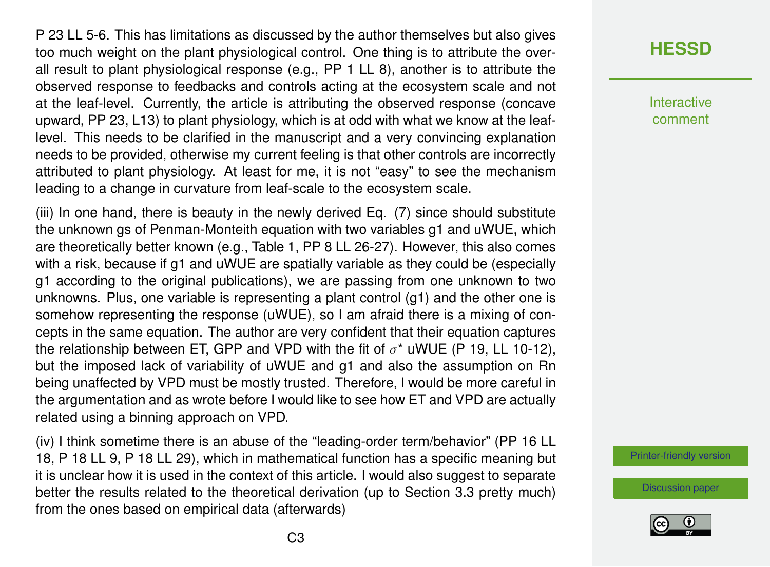P 23 LL 5-6. This has limitations as discussed by the author themselves but also gives too much weight on the plant physiological control. One thing is to attribute the overall result to plant physiological response (e.g., PP 1 LL 8), another is to attribute the observed response to feedbacks and controls acting at the ecosystem scale and not at the leaf-level. Currently, the article is attributing the observed response (concave upward, PP 23, L13) to plant physiology, which is at odd with what we know at the leaflevel. This needs to be clarified in the manuscript and a very convincing explanation needs to be provided, otherwise my current feeling is that other controls are incorrectly attributed to plant physiology. At least for me, it is not "easy" to see the mechanism leading to a change in curvature from leaf-scale to the ecosystem scale.

(iii) In one hand, there is beauty in the newly derived Eq. (7) since should substitute the unknown gs of Penman-Monteith equation with two variables g1 and uWUE, which are theoretically better known (e.g., Table 1, PP 8 LL 26-27). However, this also comes with a risk, because if g1 and uWUE are spatially variable as they could be (especially g1 according to the original publications), we are passing from one unknown to two unknowns. Plus, one variable is representing a plant control (g1) and the other one is somehow representing the response (uWUE), so I am afraid there is a mixing of concepts in the same equation. The author are very confident that their equation captures the relationship between ET, GPP and VPD with the fit of  $\sigma^*$  uWUE (P 19, LL 10-12), but the imposed lack of variability of uWUE and g1 and also the assumption on Rn being unaffected by VPD must be mostly trusted. Therefore, I would be more careful in the argumentation and as wrote before I would like to see how ET and VPD are actually related using a binning approach on VPD.

(iv) I think sometime there is an abuse of the "leading-order term/behavior" (PP 16 LL 18, P 18 LL 9, P 18 LL 29), which in mathematical function has a specific meaning but it is unclear how it is used in the context of this article. I would also suggest to separate better the results related to the theoretical derivation (up to Section 3.3 pretty much) from the ones based on empirical data (afterwards)

## **[HESSD](https://www.hydrol-earth-syst-sci-discuss.net/)**

**Interactive** comment

[Printer-friendly version](https://www.hydrol-earth-syst-sci-discuss.net/hess-2018-553/hess-2018-553-RC2-print.pdf)

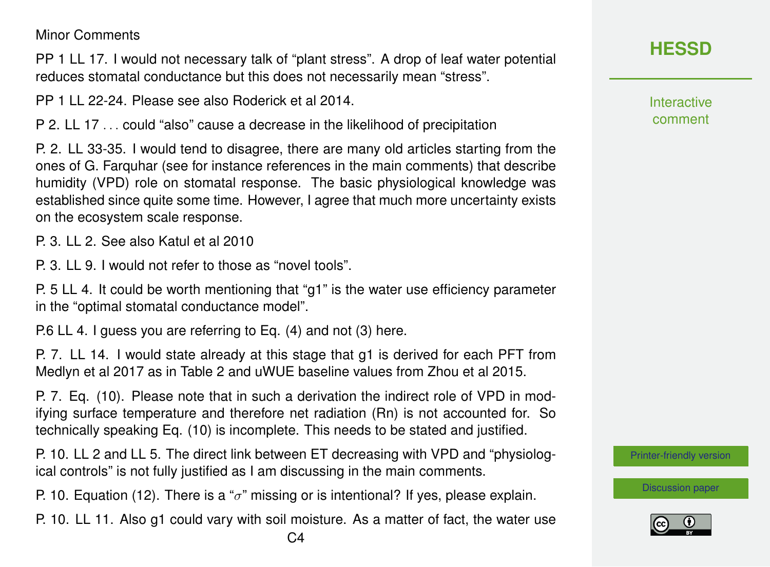#### Minor Comments

PP 1 LL 17. I would not necessary talk of "plant stress". A drop of leaf water potential reduces stomatal conductance but this does not necessarily mean "stress".

PP 1 LL 22-24. Please see also Roderick et al 2014.

P 2. LL 17 . . . could "also" cause a decrease in the likelihood of precipitation

P. 2. LL 33-35. I would tend to disagree, there are many old articles starting from the ones of G. Farquhar (see for instance references in the main comments) that describe humidity (VPD) role on stomatal response. The basic physiological knowledge was established since quite some time. However, I agree that much more uncertainty exists on the ecosystem scale response.

P. 3. LL 2. See also Katul et al 2010

P. 3. LL 9. I would not refer to those as "novel tools".

P. 5 LL 4. It could be worth mentioning that "g1" is the water use efficiency parameter in the "optimal stomatal conductance model".

P.6 LL 4. I guess you are referring to Eq. (4) and not (3) here.

P. 7. LL 14. I would state already at this stage that g1 is derived for each PFT from Medlyn et al 2017 as in Table 2 and uWUE baseline values from Zhou et al 2015.

P. 7. Eq. (10). Please note that in such a derivation the indirect role of VPD in modifying surface temperature and therefore net radiation (Rn) is not accounted for. So technically speaking Eq. (10) is incomplete. This needs to be stated and justified.

P. 10. LL 2 and LL 5. The direct link between ET decreasing with VPD and "physiological controls" is not fully justified as I am discussing in the main comments.

P. 10. Equation (12). There is a " $\sigma$ " missing or is intentional? If yes, please explain.

P. 10. LL 11. Also g1 could vary with soil moisture. As a matter of fact, the water use

**Interactive** comment

[Printer-friendly version](https://www.hydrol-earth-syst-sci-discuss.net/hess-2018-553/hess-2018-553-RC2-print.pdf)

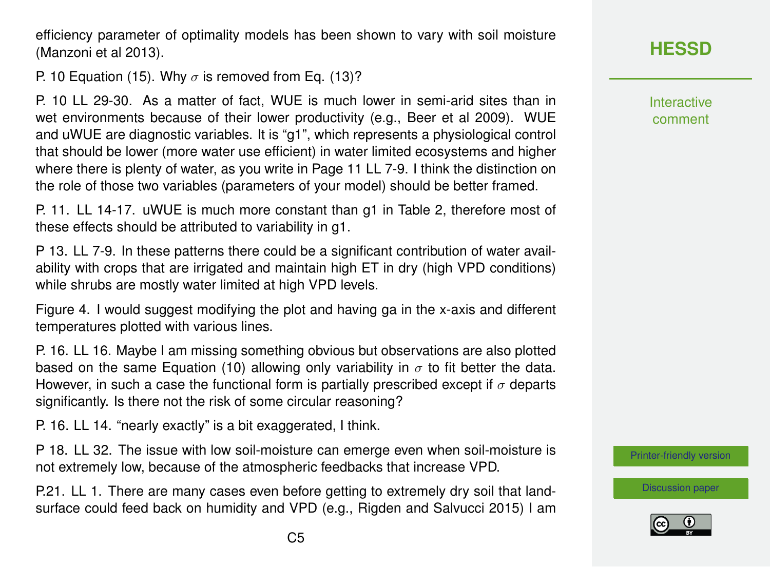efficiency parameter of optimality models has been shown to vary with soil moisture (Manzoni et al 2013).

P. 10 Equation (15). Why  $\sigma$  is removed from Eq. (13)?

P. 10 LL 29-30. As a matter of fact, WUE is much lower in semi-arid sites than in wet environments because of their lower productivity (e.g., Beer et al 2009). WUE and uWUE are diagnostic variables. It is "g1", which represents a physiological control that should be lower (more water use efficient) in water limited ecosystems and higher where there is plenty of water, as you write in Page 11 LL 7-9. I think the distinction on the role of those two variables (parameters of your model) should be better framed.

P. 11. LL 14-17. uWUE is much more constant than g1 in Table 2, therefore most of these effects should be attributed to variability in g1.

P 13. LL 7-9. In these patterns there could be a significant contribution of water availability with crops that are irrigated and maintain high ET in dry (high VPD conditions) while shrubs are mostly water limited at high VPD levels.

Figure 4. I would suggest modifying the plot and having ga in the x-axis and different temperatures plotted with various lines.

P. 16. LL 16. Maybe I am missing something obvious but observations are also plotted based on the same Equation (10) allowing only variability in  $\sigma$  to fit better the data. However, in such a case the functional form is partially prescribed except if  $\sigma$  departs significantly. Is there not the risk of some circular reasoning?

P. 16. LL 14. "nearly exactly" is a bit exaggerated, I think.

P 18. LL 32. The issue with low soil-moisture can emerge even when soil-moisture is not extremely low, because of the atmospheric feedbacks that increase VPD.

P.21. LL 1. There are many cases even before getting to extremely dry soil that landsurface could feed back on humidity and VPD (e.g., Rigden and Salvucci 2015) I am Interactive comment

[Printer-friendly version](https://www.hydrol-earth-syst-sci-discuss.net/hess-2018-553/hess-2018-553-RC2-print.pdf)

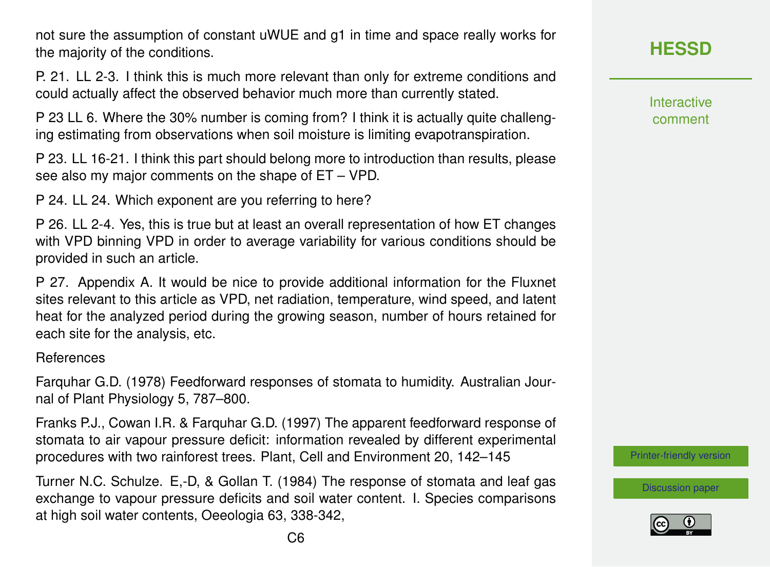not sure the assumption of constant uWUE and g1 in time and space really works for the majority of the conditions.

P. 21. LL 2-3. I think this is much more relevant than only for extreme conditions and could actually affect the observed behavior much more than currently stated.

P 23 LL 6. Where the 30% number is coming from? I think it is actually quite challenging estimating from observations when soil moisture is limiting evapotranspiration.

P 23. LL 16-21. I think this part should belong more to introduction than results, please see also my major comments on the shape of ET – VPD.

P 24. LL 24. Which exponent are you referring to here?

P 26. LL 2-4. Yes, this is true but at least an overall representation of how ET changes with VPD binning VPD in order to average variability for various conditions should be provided in such an article.

P 27. Appendix A. It would be nice to provide additional information for the Fluxnet sites relevant to this article as VPD, net radiation, temperature, wind speed, and latent heat for the analyzed period during the growing season, number of hours retained for each site for the analysis, etc.

References

Farquhar G.D. (1978) Feedforward responses of stomata to humidity. Australian Journal of Plant Physiology 5, 787–800.

Franks P.J., Cowan I.R. & Farquhar G.D. (1997) The apparent feedforward response of stomata to air vapour pressure deficit: information revealed by different experimental procedures with two rainforest trees. Plant, Cell and Environment 20, 142–145

Turner N.C. Schulze. E,-D, & Gollan T. (1984) The response of stomata and leaf gas exchange to vapour pressure deficits and soil water content. I. Species comparisons at high soil water contents, Oeeologia 63, 338-342,

**[HESSD](https://www.hydrol-earth-syst-sci-discuss.net/)**

Interactive comment

[Printer-friendly version](https://www.hydrol-earth-syst-sci-discuss.net/hess-2018-553/hess-2018-553-RC2-print.pdf)

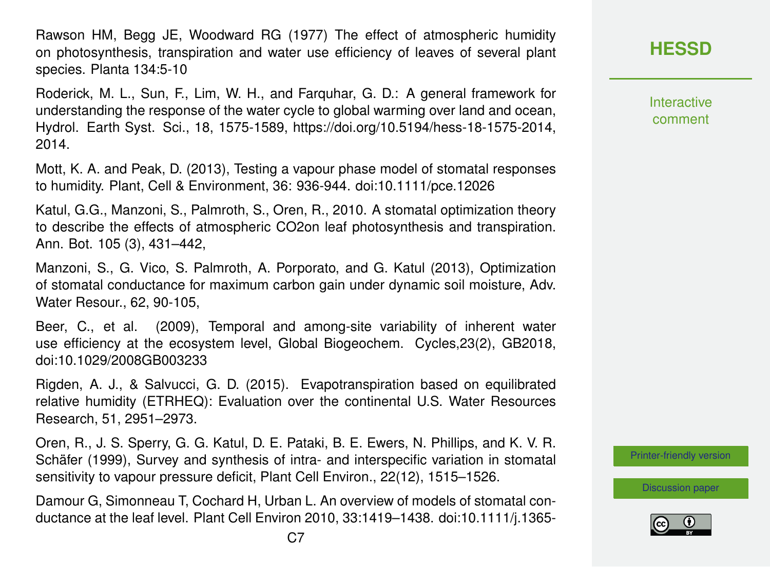Rawson HM, Begg JE, Woodward RG (1977) The effect of atmospheric humidity on photosynthesis, transpiration and water use efficiency of leaves of several plant species. Planta 134:5-10

Roderick, M. L., Sun, F., Lim, W. H., and Farquhar, G. D.: A general framework for understanding the response of the water cycle to global warming over land and ocean, Hydrol. Earth Syst. Sci., 18, 1575-1589, https://doi.org/10.5194/hess-18-1575-2014, 2014.

Mott, K. A. and Peak, D. (2013), Testing a vapour phase model of stomatal responses to humidity. Plant, Cell & Environment, 36: 936-944. doi:10.1111/pce.12026

Katul, G.G., Manzoni, S., Palmroth, S., Oren, R., 2010. A stomatal optimization theory to describe the effects of atmospheric CO2on leaf photosynthesis and transpiration. Ann. Bot. 105 (3), 431–442,

Manzoni, S., G. Vico, S. Palmroth, A. Porporato, and G. Katul (2013), Optimization of stomatal conductance for maximum carbon gain under dynamic soil moisture, Adv. Water Resour., 62, 90-105,

Beer, C., et al. (2009), Temporal and among-site variability of inherent water use efficiency at the ecosystem level, Global Biogeochem. Cycles,23(2), GB2018, doi:10.1029/2008GB003233

Rigden, A. J., & Salvucci, G. D. (2015). Evapotranspiration based on equilibrated relative humidity (ETRHEQ): Evaluation over the continental U.S. Water Resources Research, 51, 2951–2973.

Oren, R., J. S. Sperry, G. G. Katul, D. E. Pataki, B. E. Ewers, N. Phillips, and K. V. R. Schäfer (1999), Survey and synthesis of intra- and interspecific variation in stomatal sensitivity to vapour pressure deficit, Plant Cell Environ., 22(12), 1515–1526.

Damour G, Simonneau T, Cochard H, Urban L. An overview of models of stomatal conductance at the leaf level. Plant Cell Environ 2010, 33:1419–1438. doi:10.1111/j.1365**Interactive** comment

[Printer-friendly version](https://www.hydrol-earth-syst-sci-discuss.net/hess-2018-553/hess-2018-553-RC2-print.pdf)